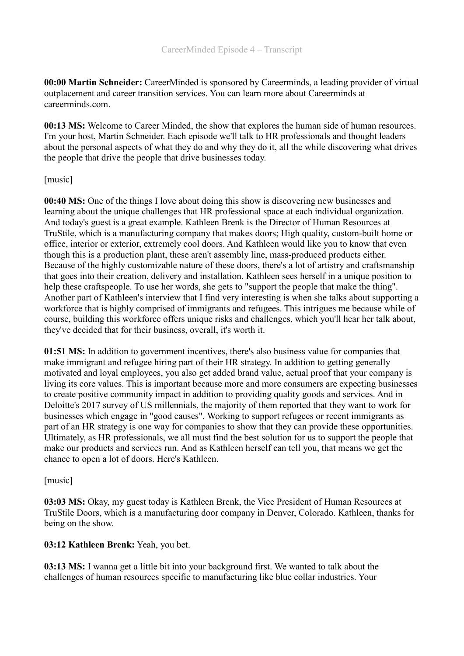**00:00 Martin Schneider:** CareerMinded is sponsored by Careerminds, a leading provider of virtual outplacement and career transition services. You can learn more about Careerminds at careerminds.com.

**00:13 MS:** Welcome to Career Minded, the show that explores the human side of human resources. I'm your host, Martin Schneider. Each episode we'll talk to HR professionals and thought leaders about the personal aspects of what they do and why they do it, all the while discovering what drives the people that drive the people that drive businesses today.

## [music]

**00:40 MS:** One of the things I love about doing this show is discovering new businesses and learning about the unique challenges that HR professional space at each individual organization. And today's guest is a great example. Kathleen Brenk is the Director of Human Resources at TruStile, which is a manufacturing company that makes doors; High quality, custom-built home or office, interior or exterior, extremely cool doors. And Kathleen would like you to know that even though this is a production plant, these aren't assembly line, mass-produced products either. Because of the highly customizable nature of these doors, there's a lot of artistry and craftsmanship that goes into their creation, delivery and installation. Kathleen sees herself in a unique position to help these craftspeople. To use her words, she gets to "support the people that make the thing". Another part of Kathleen's interview that I find very interesting is when she talks about supporting a workforce that is highly comprised of immigrants and refugees. This intrigues me because while of course, building this workforce offers unique risks and challenges, which you'll hear her talk about, they've decided that for their business, overall, it's worth it.

**01:51 MS:** In addition to government incentives, there's also business value for companies that make immigrant and refugee hiring part of their HR strategy. In addition to getting generally motivated and loyal employees, you also get added brand value, actual proof that your company is living its core values. This is important because more and more consumers are expecting businesses to create positive community impact in addition to providing quality goods and services. And in Deloitte's 2017 survey of US millennials, the majority of them reported that they want to work for businesses which engage in "good causes". Working to support refugees or recent immigrants as part of an HR strategy is one way for companies to show that they can provide these opportunities. Ultimately, as HR professionals, we all must find the best solution for us to support the people that make our products and services run. And as Kathleen herself can tell you, that means we get the chance to open a lot of doors. Here's Kathleen.

### [music]

**03:03 MS:** Okay, my guest today is Kathleen Brenk, the Vice President of Human Resources at TruStile Doors, which is a manufacturing door company in Denver, Colorado. Kathleen, thanks for being on the show.

### **03:12 Kathleen Brenk:** Yeah, you bet.

**03:13 MS:** I wanna get a little bit into your background first. We wanted to talk about the challenges of human resources specific to manufacturing like blue collar industries. Your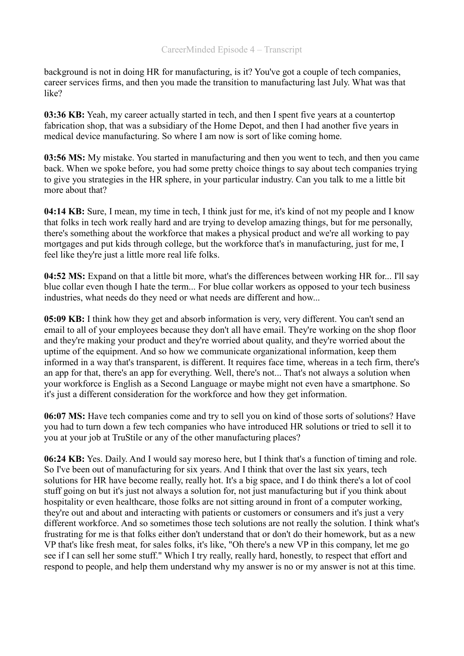background is not in doing HR for manufacturing, is it? You've got a couple of tech companies, career services firms, and then you made the transition to manufacturing last July. What was that like?

**03:36 KB:** Yeah, my career actually started in tech, and then I spent five years at a countertop fabrication shop, that was a subsidiary of the Home Depot, and then I had another five years in medical device manufacturing. So where I am now is sort of like coming home.

**03:56 MS:** My mistake. You started in manufacturing and then you went to tech, and then you came back. When we spoke before, you had some pretty choice things to say about tech companies trying to give you strategies in the HR sphere, in your particular industry. Can you talk to me a little bit more about that?

**04:14 KB:** Sure, I mean, my time in tech, I think just for me, it's kind of not my people and I know that folks in tech work really hard and are trying to develop amazing things, but for me personally, there's something about the workforce that makes a physical product and we're all working to pay mortgages and put kids through college, but the workforce that's in manufacturing, just for me, I feel like they're just a little more real life folks.

**04:52 MS:** Expand on that a little bit more, what's the differences between working HR for... I'll say blue collar even though I hate the term... For blue collar workers as opposed to your tech business industries, what needs do they need or what needs are different and how...

**05:09 KB:** I think how they get and absorb information is very, very different. You can't send an email to all of your employees because they don't all have email. They're working on the shop floor and they're making your product and they're worried about quality, and they're worried about the uptime of the equipment. And so how we communicate organizational information, keep them informed in a way that's transparent, is different. It requires face time, whereas in a tech firm, there's an app for that, there's an app for everything. Well, there's not... That's not always a solution when your workforce is English as a Second Language or maybe might not even have a smartphone. So it's just a different consideration for the workforce and how they get information.

**06:07 MS:** Have tech companies come and try to sell you on kind of those sorts of solutions? Have you had to turn down a few tech companies who have introduced HR solutions or tried to sell it to you at your job at TruStile or any of the other manufacturing places?

**06:24 KB:** Yes. Daily. And I would say moreso here, but I think that's a function of timing and role. So I've been out of manufacturing for six years. And I think that over the last six years, tech solutions for HR have become really, really hot. It's a big space, and I do think there's a lot of cool stuff going on but it's just not always a solution for, not just manufacturing but if you think about hospitality or even healthcare, those folks are not sitting around in front of a computer working, they're out and about and interacting with patients or customers or consumers and it's just a very different workforce. And so sometimes those tech solutions are not really the solution. I think what's frustrating for me is that folks either don't understand that or don't do their homework, but as a new VP that's like fresh meat, for sales folks, it's like, "Oh there's a new VP in this company, let me go see if I can sell her some stuff." Which I try really, really hard, honestly, to respect that effort and respond to people, and help them understand why my answer is no or my answer is not at this time.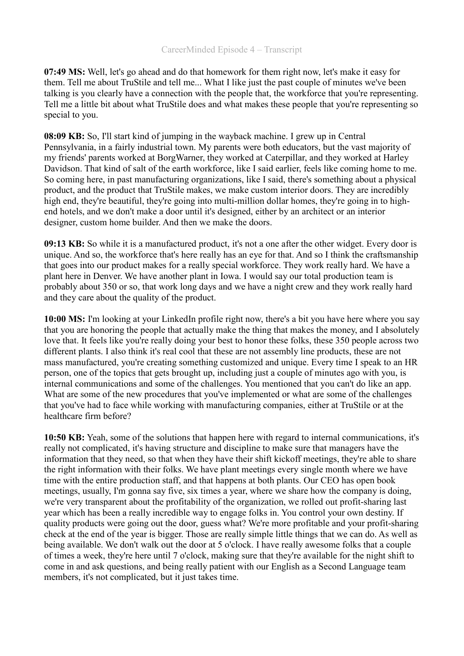**07:49 MS:** Well, let's go ahead and do that homework for them right now, let's make it easy for them. Tell me about TruStile and tell me... What I like just the past couple of minutes we've been talking is you clearly have a connection with the people that, the workforce that you're representing. Tell me a little bit about what TruStile does and what makes these people that you're representing so special to you.

**08:09 KB:** So, I'll start kind of jumping in the wayback machine. I grew up in Central Pennsylvania, in a fairly industrial town. My parents were both educators, but the vast majority of my friends' parents worked at BorgWarner, they worked at Caterpillar, and they worked at Harley Davidson. That kind of salt of the earth workforce, like I said earlier, feels like coming home to me. So coming here, in past manufacturing organizations, like I said, there's something about a physical product, and the product that TruStile makes, we make custom interior doors. They are incredibly high end, they're beautiful, they're going into multi-million dollar homes, they're going in to highend hotels, and we don't make a door until it's designed, either by an architect or an interior designer, custom home builder. And then we make the doors.

**09:13 KB:** So while it is a manufactured product, it's not a one after the other widget. Every door is unique. And so, the workforce that's here really has an eye for that. And so I think the craftsmanship that goes into our product makes for a really special workforce. They work really hard. We have a plant here in Denver. We have another plant in Iowa. I would say our total production team is probably about 350 or so, that work long days and we have a night crew and they work really hard and they care about the quality of the product.

**10:00 MS:** I'm looking at your LinkedIn profile right now, there's a bit you have here where you say that you are honoring the people that actually make the thing that makes the money, and I absolutely love that. It feels like you're really doing your best to honor these folks, these 350 people across two different plants. I also think it's real cool that these are not assembly line products, these are not mass manufactured, you're creating something customized and unique. Every time I speak to an HR person, one of the topics that gets brought up, including just a couple of minutes ago with you, is internal communications and some of the challenges. You mentioned that you can't do like an app. What are some of the new procedures that you've implemented or what are some of the challenges that you've had to face while working with manufacturing companies, either at TruStile or at the healthcare firm before?

**10:50 KB:** Yeah, some of the solutions that happen here with regard to internal communications, it's really not complicated, it's having structure and discipline to make sure that managers have the information that they need, so that when they have their shift kickoff meetings, they're able to share the right information with their folks. We have plant meetings every single month where we have time with the entire production staff, and that happens at both plants. Our CEO has open book meetings, usually, I'm gonna say five, six times a year, where we share how the company is doing, we're very transparent about the profitability of the organization, we rolled out profit-sharing last year which has been a really incredible way to engage folks in. You control your own destiny. If quality products were going out the door, guess what? We're more profitable and your profit-sharing check at the end of the year is bigger. Those are really simple little things that we can do. As well as being available. We don't walk out the door at 5 o'clock. I have really awesome folks that a couple of times a week, they're here until 7 o'clock, making sure that they're available for the night shift to come in and ask questions, and being really patient with our English as a Second Language team members, it's not complicated, but it just takes time.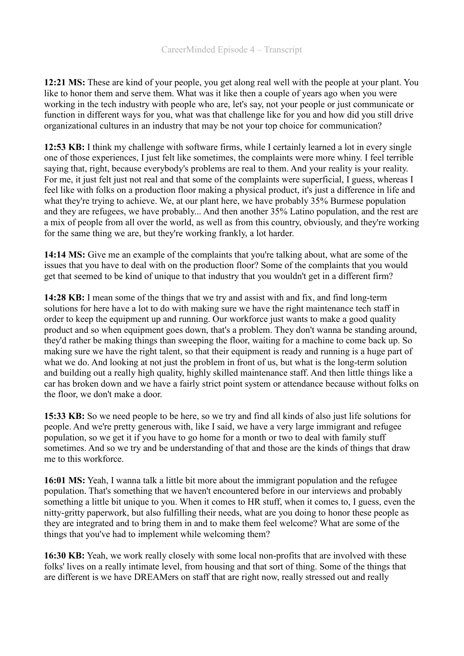**12:21 MS:** These are kind of your people, you get along real well with the people at your plant. You like to honor them and serve them. What was it like then a couple of years ago when you were working in the tech industry with people who are, let's say, not your people or just communicate or function in different ways for you, what was that challenge like for you and how did you still drive organizational cultures in an industry that may be not your top choice for communication?

**12:53 KB:** I think my challenge with software firms, while I certainly learned a lot in every single one of those experiences, I just felt like sometimes, the complaints were more whiny. I feel terrible saying that, right, because everybody's problems are real to them. And your reality is your reality. For me, it just felt just not real and that some of the complaints were superficial, I guess, whereas I feel like with folks on a production floor making a physical product, it's just a difference in life and what they're trying to achieve. We, at our plant here, we have probably 35% Burmese population and they are refugees, we have probably... And then another 35% Latino population, and the rest are a mix of people from all over the world, as well as from this country, obviously, and they're working for the same thing we are, but they're working frankly, a lot harder.

**14:14 MS:** Give me an example of the complaints that you're talking about, what are some of the issues that you have to deal with on the production floor? Some of the complaints that you would get that seemed to be kind of unique to that industry that you wouldn't get in a different firm?

**14:28 KB:** I mean some of the things that we try and assist with and fix, and find long-term solutions for here have a lot to do with making sure we have the right maintenance tech staff in order to keep the equipment up and running. Our workforce just wants to make a good quality product and so when equipment goes down, that's a problem. They don't wanna be standing around, they'd rather be making things than sweeping the floor, waiting for a machine to come back up. So making sure we have the right talent, so that their equipment is ready and running is a huge part of what we do. And looking at not just the problem in front of us, but what is the long-term solution and building out a really high quality, highly skilled maintenance staff. And then little things like a car has broken down and we have a fairly strict point system or attendance because without folks on the floor, we don't make a door.

**15:33 KB:** So we need people to be here, so we try and find all kinds of also just life solutions for people. And we're pretty generous with, like I said, we have a very large immigrant and refugee population, so we get it if you have to go home for a month or two to deal with family stuff sometimes. And so we try and be understanding of that and those are the kinds of things that draw me to this workforce.

**16:01 MS:** Yeah, I wanna talk a little bit more about the immigrant population and the refugee population. That's something that we haven't encountered before in our interviews and probably something a little bit unique to you. When it comes to HR stuff, when it comes to, I guess, even the nitty-gritty paperwork, but also fulfilling their needs, what are you doing to honor these people as they are integrated and to bring them in and to make them feel welcome? What are some of the things that you've had to implement while welcoming them?

**16:30 KB:** Yeah, we work really closely with some local non-profits that are involved with these folks' lives on a really intimate level, from housing and that sort of thing. Some of the things that are different is we have DREAMers on staff that are right now, really stressed out and really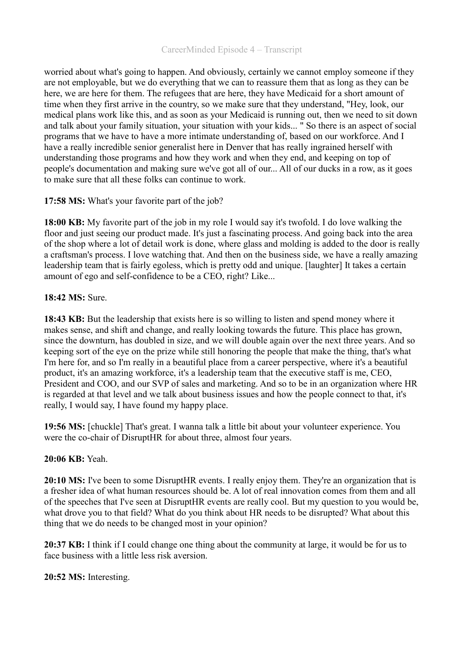### CareerMinded Episode 4 – Transcript

worried about what's going to happen. And obviously, certainly we cannot employ someone if they are not employable, but we do everything that we can to reassure them that as long as they can be here, we are here for them. The refugees that are here, they have Medicaid for a short amount of time when they first arrive in the country, so we make sure that they understand, "Hey, look, our medical plans work like this, and as soon as your Medicaid is running out, then we need to sit down and talk about your family situation, your situation with your kids... " So there is an aspect of social programs that we have to have a more intimate understanding of, based on our workforce. And I have a really incredible senior generalist here in Denver that has really ingrained herself with understanding those programs and how they work and when they end, and keeping on top of people's documentation and making sure we've got all of our... All of our ducks in a row, as it goes to make sure that all these folks can continue to work.

# **17:58 MS:** What's your favorite part of the job?

**18:00 KB:** My favorite part of the job in my role I would say it's twofold. I do love walking the floor and just seeing our product made. It's just a fascinating process. And going back into the area of the shop where a lot of detail work is done, where glass and molding is added to the door is really a craftsman's process. I love watching that. And then on the business side, we have a really amazing leadership team that is fairly egoless, which is pretty odd and unique. [laughter] It takes a certain amount of ego and self-confidence to be a CEO, right? Like...

## **18:42 MS:** Sure.

**18:43 KB:** But the leadership that exists here is so willing to listen and spend money where it makes sense, and shift and change, and really looking towards the future. This place has grown, since the downturn, has doubled in size, and we will double again over the next three years. And so keeping sort of the eye on the prize while still honoring the people that make the thing, that's what I'm here for, and so I'm really in a beautiful place from a career perspective, where it's a beautiful product, it's an amazing workforce, it's a leadership team that the executive staff is me, CEO, President and COO, and our SVP of sales and marketing. And so to be in an organization where HR is regarded at that level and we talk about business issues and how the people connect to that, it's really, I would say, I have found my happy place.

**19:56 MS:** [chuckle] That's great. I wanna talk a little bit about your volunteer experience. You were the co-chair of DisruptHR for about three, almost four years.

## **20:06 KB:** Yeah.

**20:10 MS:** I've been to some DisruptHR events. I really enjoy them. They're an organization that is a fresher idea of what human resources should be. A lot of real innovation comes from them and all of the speeches that I've seen at DisruptHR events are really cool. But my question to you would be, what drove you to that field? What do you think about HR needs to be disrupted? What about this thing that we do needs to be changed most in your opinion?

**20:37 KB:** I think if I could change one thing about the community at large, it would be for us to face business with a little less risk aversion.

### **20:52 MS:** Interesting.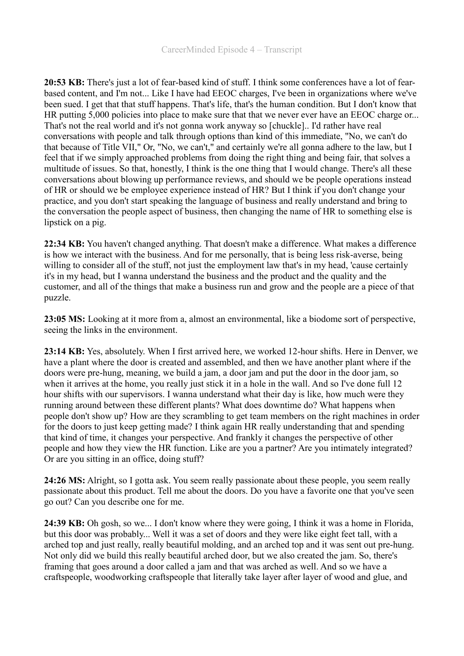**20:53 KB:** There's just a lot of fear-based kind of stuff. I think some conferences have a lot of fearbased content, and I'm not... Like I have had EEOC charges, I've been in organizations where we've been sued. I get that that stuff happens. That's life, that's the human condition. But I don't know that HR putting 5,000 policies into place to make sure that that we never ever have an EEOC charge or... That's not the real world and it's not gonna work anyway so [chuckle].. I'd rather have real conversations with people and talk through options than kind of this immediate, "No, we can't do that because of Title VII," Or, "No, we can't," and certainly we're all gonna adhere to the law, but I feel that if we simply approached problems from doing the right thing and being fair, that solves a multitude of issues. So that, honestly, I think is the one thing that I would change. There's all these conversations about blowing up performance reviews, and should we be people operations instead of HR or should we be employee experience instead of HR? But I think if you don't change your practice, and you don't start speaking the language of business and really understand and bring to the conversation the people aspect of business, then changing the name of HR to something else is lipstick on a pig.

**22:34 KB:** You haven't changed anything. That doesn't make a difference. What makes a difference is how we interact with the business. And for me personally, that is being less risk-averse, being willing to consider all of the stuff, not just the employment law that's in my head, 'cause certainly it's in my head, but I wanna understand the business and the product and the quality and the customer, and all of the things that make a business run and grow and the people are a piece of that puzzle.

**23:05 MS:** Looking at it more from a, almost an environmental, like a biodome sort of perspective, seeing the links in the environment.

**23:14 KB:** Yes, absolutely. When I first arrived here, we worked 12-hour shifts. Here in Denver, we have a plant where the door is created and assembled, and then we have another plant where if the doors were pre-hung, meaning, we build a jam, a door jam and put the door in the door jam, so when it arrives at the home, you really just stick it in a hole in the wall. And so I've done full 12 hour shifts with our supervisors. I wanna understand what their day is like, how much were they running around between these different plants? What does downtime do? What happens when people don't show up? How are they scrambling to get team members on the right machines in order for the doors to just keep getting made? I think again HR really understanding that and spending that kind of time, it changes your perspective. And frankly it changes the perspective of other people and how they view the HR function. Like are you a partner? Are you intimately integrated? Or are you sitting in an office, doing stuff?

**24:26 MS:** Alright, so I gotta ask. You seem really passionate about these people, you seem really passionate about this product. Tell me about the doors. Do you have a favorite one that you've seen go out? Can you describe one for me.

**24:39 KB:** Oh gosh, so we... I don't know where they were going, I think it was a home in Florida, but this door was probably... Well it was a set of doors and they were like eight feet tall, with a arched top and just really, really beautiful molding, and an arched top and it was sent out pre-hung. Not only did we build this really beautiful arched door, but we also created the jam. So, there's framing that goes around a door called a jam and that was arched as well. And so we have a craftspeople, woodworking craftspeople that literally take layer after layer of wood and glue, and